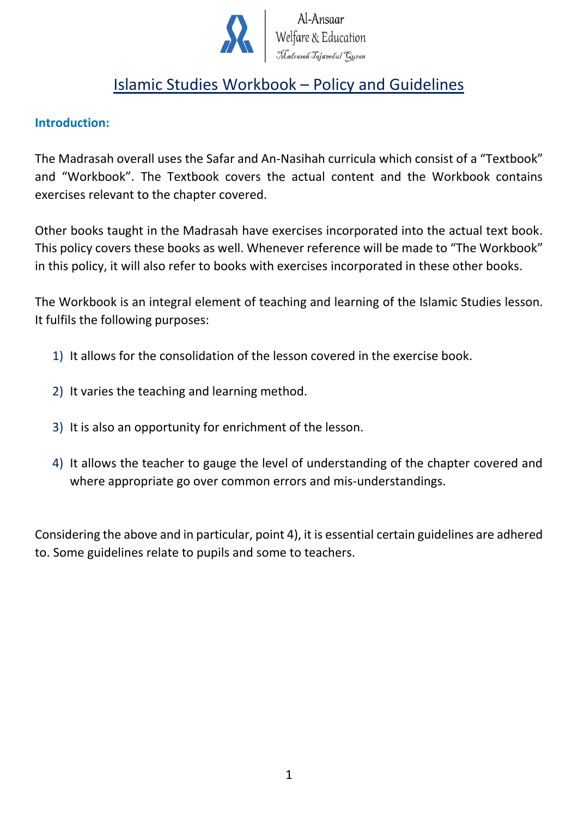

# Islamic Studies Workbook – Policy and Guidelines

#### **Introduction:**

The Madrasah overall uses the Safar and An-Nasihah curricula which consist of a "Textbook" and "Workbook". The Textbook covers the actual content and the Workbook contains exercises relevant to the chapter covered.

Other books taught in the Madrasah have exercises incorporated into the actual text book. This policy covers these books as well. Whenever reference will be made to "The Workbook" in this policy, it will also refer to books with exercises incorporated in these other books.

The Workbook is an integral element of teaching and learning of the Islamic Studies lesson. It fulfils the following purposes:

- 1) It allows for the consolidation of the lesson covered in the exercise book.
- 2) It varies the teaching and learning method.
- 3) It is also an opportunity for enrichment of the lesson.
- 4) It allows the teacher to gauge the level of understanding of the chapter covered and where appropriate go over common errors and mis-understandings.

Considering the above and in particular, point 4), it is essential certain guidelines are adhered to. Some guidelines relate to pupils and some to teachers.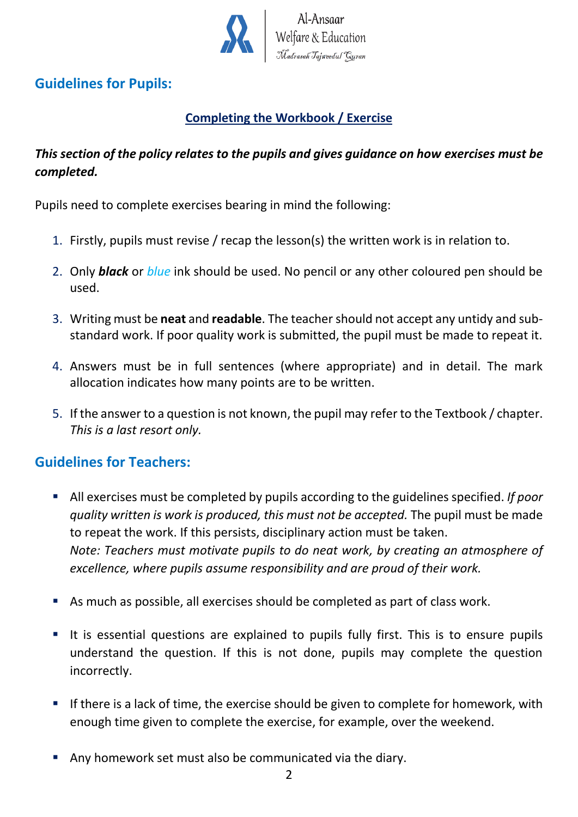

# **Guidelines for Pupils:**

# **Completing the Workbook / Exercise**

## *This section of the policy relates to the pupils and gives guidance on how exercises must be completed.*

Pupils need to complete exercises bearing in mind the following:

- 1. Firstly, pupils must revise / recap the lesson(s) the written work is in relation to.
- 2. Only *black* or *blue* ink should be used. No pencil or any other coloured pen should be used.
- 3. Writing must be **neat** and **readable**. The teacher should not accept any untidy and substandard work. If poor quality work is submitted, the pupil must be made to repeat it.
- 4. Answers must be in full sentences (where appropriate) and in detail. The mark allocation indicates how many points are to be written.
- 5. If the answer to a question is not known, the pupil may refer to the Textbook / chapter. *This is a last resort only.*

### **Guidelines for Teachers:**

- All exercises must be completed by pupils according to the guidelines specified. *If poor quality written is work is produced, this must not be accepted.* The pupil must be made to repeat the work. If this persists, disciplinary action must be taken. *Note: Teachers must motivate pupils to do neat work, by creating an atmosphere of excellence, where pupils assume responsibility and are proud of their work.*
- As much as possible, all exercises should be completed as part of class work.
- It is essential questions are explained to pupils fully first. This is to ensure pupils understand the question. If this is not done, pupils may complete the question incorrectly.
- **EXT** If there is a lack of time, the exercise should be given to complete for homework, with enough time given to complete the exercise, for example, over the weekend.
- Any homework set must also be communicated via the diary.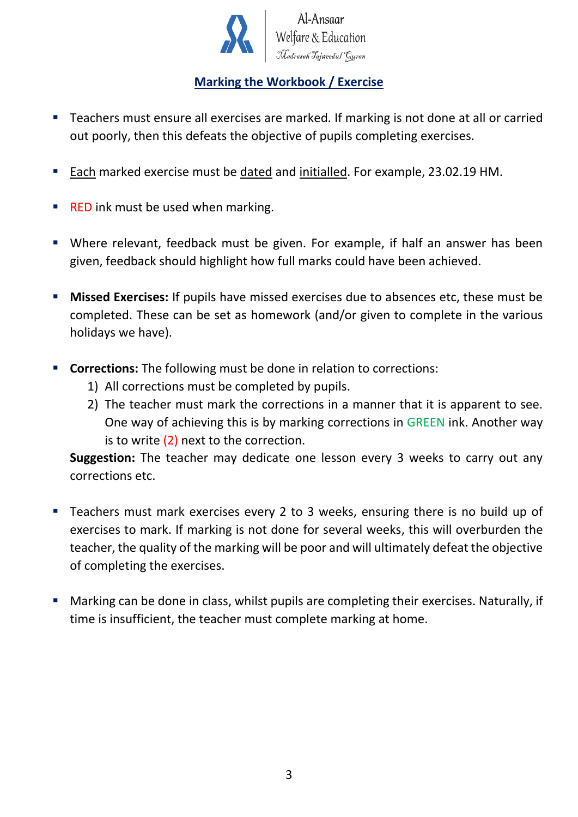

Al-Ansaar<br>Welfare & Education

#### **Marking the Workbook / Exercise**

- Teachers must ensure all exercises are marked. If marking is not done at all or carried out poorly, then this defeats the objective of pupils completing exercises.
- Each marked exercise must be dated and initialled. For example, 23.02.19 HM.
- RED ink must be used when marking.
- Where relevant, feedback must be given. For example, if half an answer has been given, feedback should highlight how full marks could have been achieved.
- **EXERCISES:** If pupils have missed exercises due to absences etc, these must be completed. These can be set as homework (and/or given to complete in the various holidays we have).
- **Corrections:** The following must be done in relation to corrections:
	- 1) All corrections must be completed by pupils.
	- 2) The teacher must mark the corrections in a manner that it is apparent to see. One way of achieving this is by marking corrections in GREEN ink. Another way is to write  $(2)$  next to the correction.

**Suggestion:** The teacher may dedicate one lesson every 3 weeks to carry out any corrections etc.

- Teachers must mark exercises every 2 to 3 weeks, ensuring there is no build up of exercises to mark. If marking is not done for several weeks, this will overburden the teacher, the quality of the marking will be poor and will ultimately defeat the objective of completing the exercises.
- Marking can be done in class, whilst pupils are completing their exercises. Naturally, if time is insufficient, the teacher must complete marking at home.